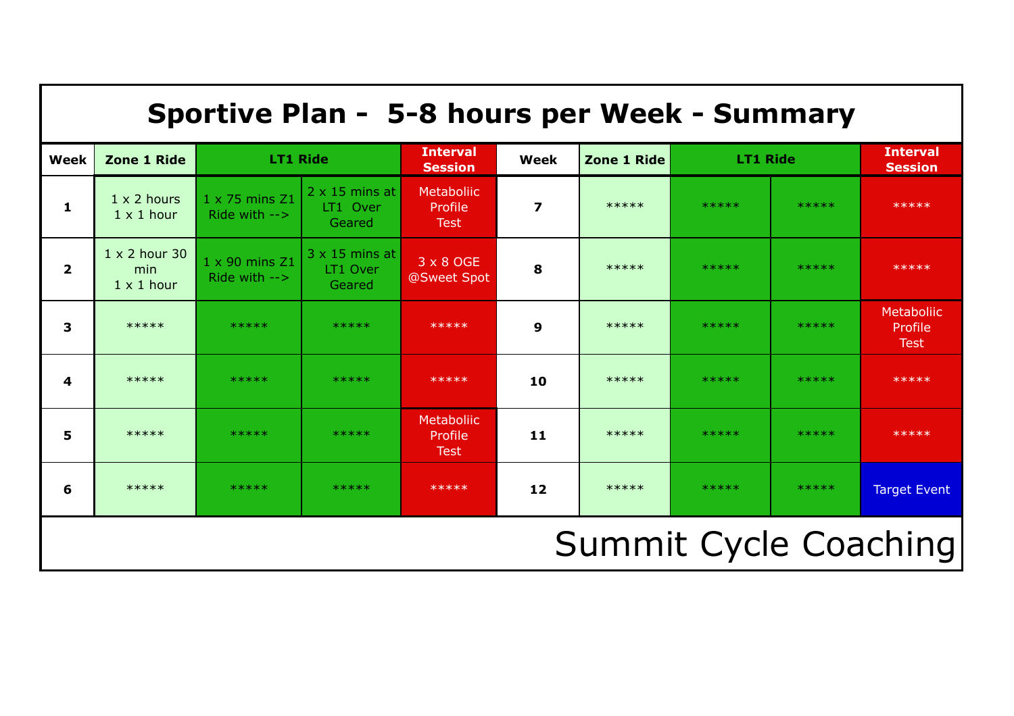| Sportive Plan - 5-8 hours per Week - Summary |                                                  |                                                    |                                             |                                             |                         |             |                 |       |                                      |
|----------------------------------------------|--------------------------------------------------|----------------------------------------------------|---------------------------------------------|---------------------------------------------|-------------------------|-------------|-----------------|-------|--------------------------------------|
| Week                                         | <b>Zone 1 Ride</b>                               | <b>LT1 Ride</b>                                    |                                             | <b>Interval</b><br><b>Session</b>           | Week                    | Zone 1 Ride | <b>LT1 Ride</b> |       | <b>Interval</b><br><b>Session</b>    |
| $\mathbf{1}$                                 | $1 \times 2$ hours<br>$1 \times 1$ hour          | 1 x 75 mins Z1<br>Ride with $\rightarrow$          | $2 \times 15$ mins at<br>LT1 Over<br>Geared | <b>Metaboliic</b><br>Profile<br><b>Test</b> | $\overline{\mathbf{z}}$ | *****       | *****           | ***** | *****                                |
| $\overline{2}$                               | $1 \times 2$ hour 30<br>min<br>$1 \times 1$ hour | $1 \times 90$ mins $Z1$<br>Ride with $\rightarrow$ | $3 \times 15$ mins at<br>LT1 Over<br>Geared | 3 x 8 OGE<br>@Sweet Spot                    | 8                       | *****       | *****           | ***** | *****                                |
| $\overline{\mathbf{3}}$                      | *****                                            | *****                                              | *****                                       | *****                                       | 9                       | *****       | *****           | ***** | Metaboliic<br>Profile<br><b>Test</b> |
| 4                                            | *****                                            | *****                                              | *****                                       | *****                                       | 10                      | *****       | *****           | ***** | *****                                |
| 5                                            | *****                                            | *****                                              | *****                                       | <b>Metaboliic</b><br>Profile<br><b>Test</b> | 11                      | *****       | *****           | ***** | *****                                |
| 6                                            | *****                                            | *****                                              | *****                                       | *****                                       | 12                      | *****       | *****           | ***** | <b>Target Event</b>                  |
| <b>Summit Cycle Coaching</b>                 |                                                  |                                                    |                                             |                                             |                         |             |                 |       |                                      |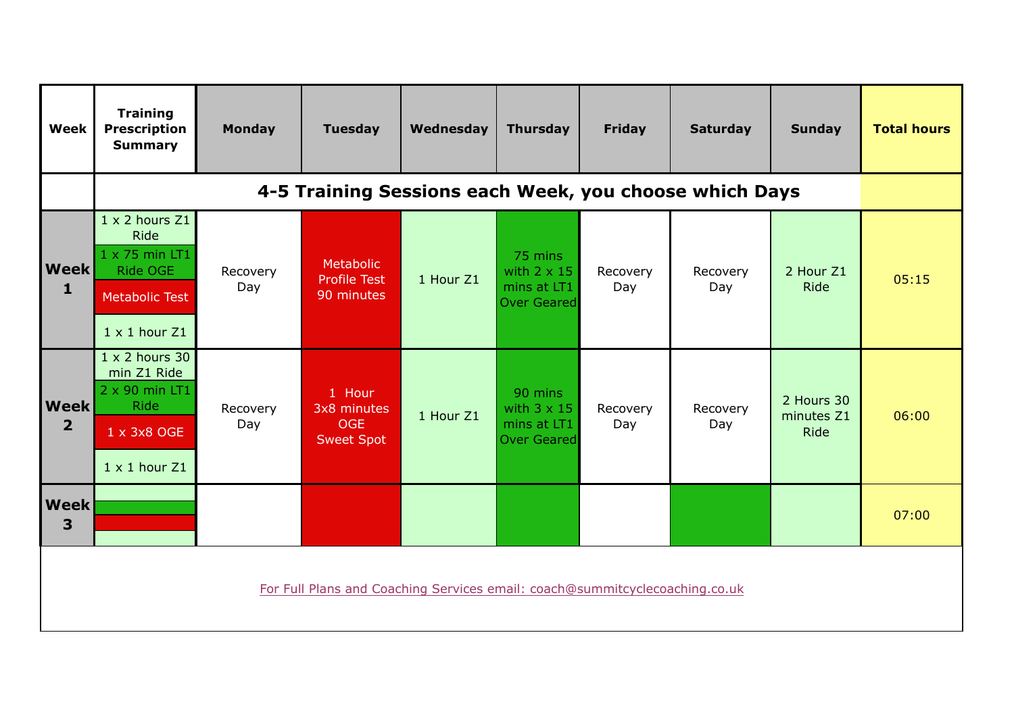| <b>Week</b>                                                                 | <b>Training</b><br><b>Prescription</b><br><b>Summary</b>                                                         | <b>Monday</b>   | <b>Tuesday</b>                                           | Wednesday | <b>Thursday</b>                                                    | <b>Friday</b>   | <b>Saturday</b> | <b>Sunday</b>                           | <b>Total hours</b> |
|-----------------------------------------------------------------------------|------------------------------------------------------------------------------------------------------------------|-----------------|----------------------------------------------------------|-----------|--------------------------------------------------------------------|-----------------|-----------------|-----------------------------------------|--------------------|
|                                                                             | 4-5 Training Sessions each Week, you choose which Days                                                           |                 |                                                          |           |                                                                    |                 |                 |                                         |                    |
| <b>Week</b><br>$\mathbf{1}$                                                 | $1 \times 2$ hours $Z1$<br>Ride<br>1 x 75 min LT1<br>Ride OGE<br><b>Metabolic Test</b><br>$1 \times 1$ hour $Z1$ | Recovery<br>Day | Metabolic<br><b>Profile Test</b><br>90 minutes           | 1 Hour Z1 | 75 mins<br>with $2 \times 15$<br>mins at LT1<br>Over Geared        | Recovery<br>Day | Recovery<br>Day | 2 Hour Z1<br>Ride                       | 05:15              |
| <b>Week</b><br>$\overline{2}$                                               | $1 \times 2$ hours 30<br>min Z1 Ride<br>2 x 90 min LT1<br><b>Ride</b><br>1 x 3x8 OGE<br>$1 \times 1$ hour $Z1$   | Recovery<br>Day | 1 Hour<br>3x8 minutes<br><b>OGE</b><br><b>Sweet Spot</b> | 1 Hour Z1 | 90 mins<br>with $3 \times 15$<br>mins at LT1<br><b>Over Geared</b> | Recovery<br>Day | Recovery<br>Day | 2 Hours 30<br>minutes Z1<br><b>Ride</b> | 06:00              |
| <b>Week</b><br>3                                                            |                                                                                                                  |                 |                                                          |           |                                                                    |                 |                 |                                         | 07:00              |
| For Full Plans and Coaching Services email: coach@summitcyclecoaching.co.uk |                                                                                                                  |                 |                                                          |           |                                                                    |                 |                 |                                         |                    |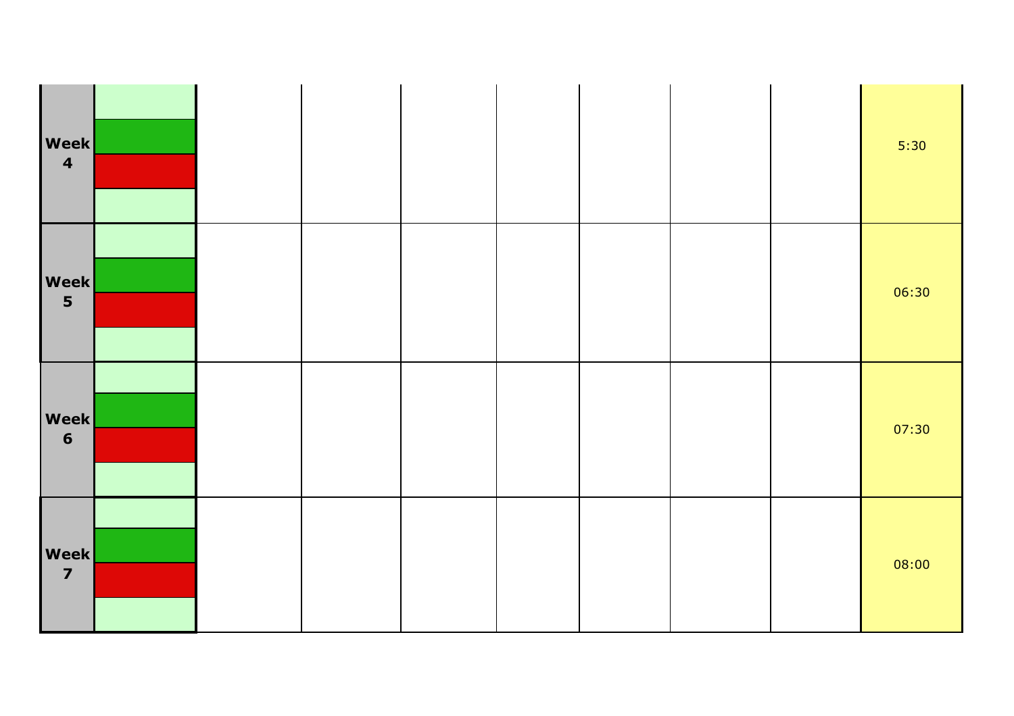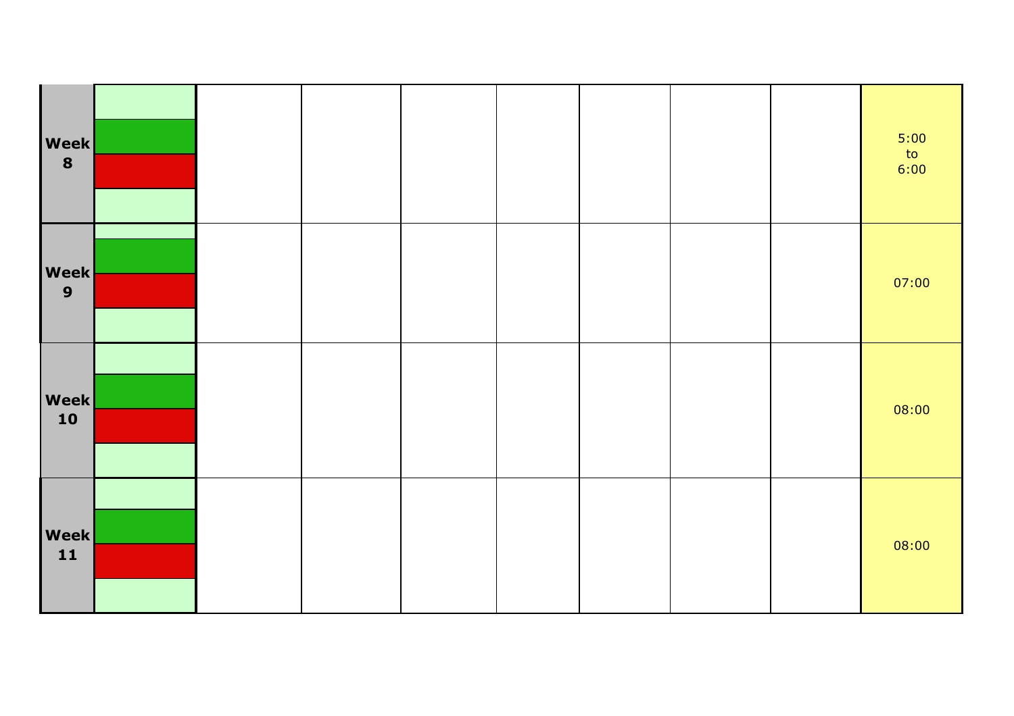